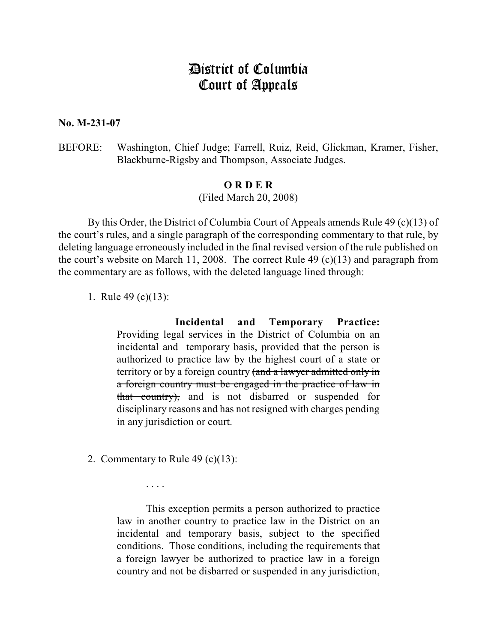## District of Columbia Court of Appeals

**No. M-231-07**

BEFORE: Washington, Chief Judge; Farrell, Ruiz, Reid, Glickman, Kramer, Fisher, Blackburne-Rigsby and Thompson, Associate Judges.

## **O R D E R**

(Filed March 20, 2008)

By this Order, the District of Columbia Court of Appeals amends Rule 49 (c)(13) of the court's rules, and a single paragraph of the corresponding commentary to that rule, by deleting language erroneously included in the final revised version of the rule published on the court's website on March 11, 2008. The correct Rule 49 (c)(13) and paragraph from the commentary are as follows, with the deleted language lined through:

1. Rule 49 (c)(13):

**Incidental and Temporary Practice:** Providing legal services in the District of Columbia on an incidental and temporary basis, provided that the person is authorized to practice law by the highest court of a state or territory or by a foreign country (and a lawyer admitted only in a foreign country must be engaged in the practice of law in that country), and is not disbarred or suspended for disciplinary reasons and has not resigned with charges pending in any jurisdiction or court.

2. Commentary to Rule 49 (c)(13):

. . . .

This exception permits a person authorized to practice law in another country to practice law in the District on an incidental and temporary basis, subject to the specified conditions. Those conditions, including the requirements that a foreign lawyer be authorized to practice law in a foreign country and not be disbarred or suspended in any jurisdiction,